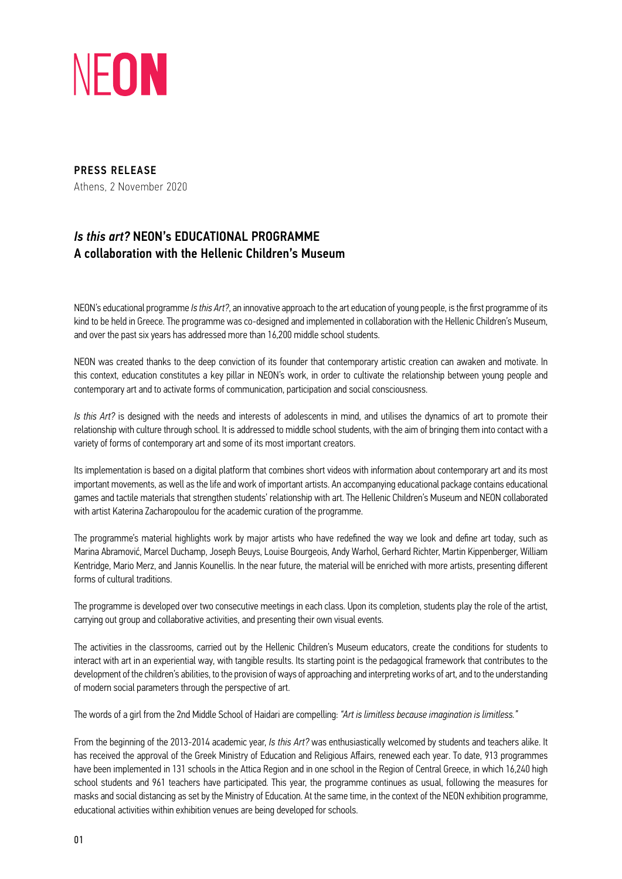

PRESS RELEASE Athens, 2 November 2020

## *Is this art?* NEON's EDUCATIONAL PROGRAMME A collaboration with the Hellenic Children's Museum

NEON's educational programme *Is this Art?*, an innovative approach to the art education of young people, is the first programme of its kind to be held in Greece. The programme was co-designed and implemented in collaboration with the Hellenic Children's Museum, and over the past six years has addressed more than 16,200 middle school students.

NEON was created thanks to the deep conviction of its founder that contemporary artistic creation can awaken and motivate. In this context, education constitutes a key pillar in NEON's work, in order to cultivate the relationship between young people and contemporary art and to activate forms of communication, participation and social consciousness.

*Is this Art?* is designed with the needs and interests of adolescents in mind, and utilises the dynamics of art to promote their relationship with culture through school. It is addressed to middle school students, with the aim of bringing them into contact with a variety of forms of contemporary art and some of its most important creators.

Its implementation is based on a digital platform that combines short videos with information about contemporary art and its most important movements, as well as the life and work of important artists. An accompanying educational package contains educational games and tactile materials that strengthen students' relationship with art. The Hellenic Children's Museum and NEON collaborated with artist Katerina Zacharopoulou for the academic curation of the programme.

The programme's material highlights work by major artists who have redefined the way we look and define art today, such as Marina Abramović, Marcel Duchamp, Joseph Beuys, Louise Bourgeois, Andy Warhol, Gerhard Richter, Martin Kippenberger, William Kentridge, Mario Merz, and Jannis Kounellis. In the near future, the material will be enriched with more artists, presenting different forms of cultural traditions.

The programme is developed over two consecutive meetings in each class. Upon its completion, students play the role of the artist, carrying out group and collaborative activities, and presenting their own visual events.

The activities in the classrooms, carried out by the Hellenic Children's Museum educators, create the conditions for students to interact with art in an experiential way, with tangible results. Its starting point is the pedagogical framework that contributes to the development of the children's abilities, to the provision of ways of approaching and interpreting works of art, and to the understanding of modern social parameters through the perspective of art.

The words of a girl from the 2nd Middle School of Haidari are compelling: *"Art is limitless because imagination is limitless."*

From the beginning of the 2013-2014 academic year, *Is this Art?* was enthusiastically welcomed by students and teachers alike. It has received the approval of the Greek Ministry of Education and Religious Affairs, renewed each year. To date, 913 programmes have been implemented in 131 schools in the Attica Region and in one school in the Region of Central Greece, in which 16,240 high school students and 961 teachers have participated. This year, the programme continues as usual, following the measures for masks and social distancing as set by the Ministry of Education. At the same time, in the context of the NEON exhibition programme, educational activities within exhibition venues are being developed for schools.